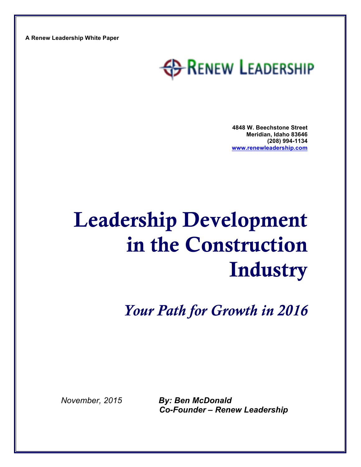**A Renew Leadership White Paper**

## **ED-RENEW LEADERSHIP**

**4848 W. Beechstone Street Meridian, Idaho 83646 (208) 994-1134 www.renewleadership.com**

# Leadership Development in the Construction **Industry**

*Your Path for Growth in 2016*

*November, 2015 By: Ben McDonald Co-Founder – Renew Leadership*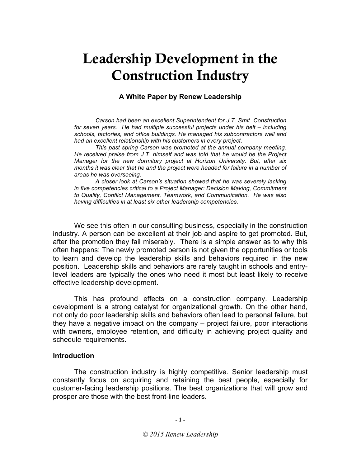## Leadership Development in the Construction Industry

## **A White Paper by Renew Leadership**

*Carson had been an excellent Superintendent for J.T. Smit Construction for seven years. He had multiple successful projects under his belt – including schools, factories, and office buildings. He managed his subcontractors well and had an excellent relationship with his customers in every project.* 

*This past spring Carson was promoted at the annual company meeting. He received praise from J.T. himself and was told that he would be the Project Manager for the new dormitory project at Horizon University. But, after six months it was clear that he and the project were headed for failure in a number of areas he was overseeing.* 

*A closer look at Carson's situation showed that he was severely lacking in five competencies critical to a Project Manager: Decision Making, Commitment to Quality, Conflict Management, Teamwork, and Communication. He was also having difficulties in at least six other leadership competencies.*

We see this often in our consulting business, especially in the construction industry. A person can be excellent at their job and aspire to get promoted. But, after the promotion they fail miserably. There is a simple answer as to why this often happens: The newly promoted person is not given the opportunities or tools to learn and develop the leadership skills and behaviors required in the new position. Leadership skills and behaviors are rarely taught in schools and entrylevel leaders are typically the ones who need it most but least likely to receive effective leadership development.

This has profound effects on a construction company. Leadership development is a strong catalyst for organizational growth. On the other hand, not only do poor leadership skills and behaviors often lead to personal failure, but they have a negative impact on the company – project failure, poor interactions with owners, employee retention, and difficulty in achieving project quality and schedule requirements.

### **Introduction**

The construction industry is highly competitive. Senior leadership must constantly focus on acquiring and retaining the best people, especially for customer-facing leadership positions. The best organizations that will grow and prosper are those with the best front-line leaders.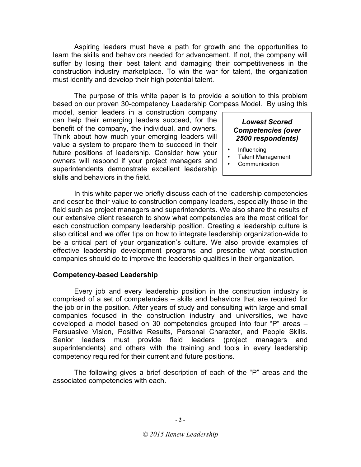Aspiring leaders must have a path for growth and the opportunities to learn the skills and behaviors needed for advancement. If not, the company will suffer by losing their best talent and damaging their competitiveness in the construction industry marketplace. To win the war for talent, the organization must identify and develop their high potential talent.

The purpose of this white paper is to provide a solution to this problem based on our proven 30-competency Leadership Compass Model. By using this

model, senior leaders in a construction company can help their emerging leaders succeed, for the benefit of the company, the individual, and owners. Think about how much your emerging leaders will value a system to prepare them to succeed in their future positions of leadership. Consider how your owners will respond if your project managers and superintendents demonstrate excellent leadership skills and behaviors in the field.

## *Lowest Scored Competencies (over 2500 respondents)*

- Influencing
- Talent Management
- **Communication**

In this white paper we briefly discuss each of the leadership competencies and describe their value to construction company leaders, especially those in the field such as project managers and superintendents. We also share the results of our extensive client research to show what competencies are the most critical for each construction company leadership position. Creating a leadership culture is also critical and we offer tips on how to integrate leadership organization-wide to be a critical part of your organization's culture. We also provide examples of effective leadership development programs and prescribe what construction companies should do to improve the leadership qualities in their organization.

### **Competency-based Leadership**

Every job and every leadership position in the construction industry is comprised of a set of competencies – skills and behaviors that are required for the job or in the position. After years of study and consulting with large and small companies focused in the construction industry and universities, we have developed a model based on 30 competencies grouped into four "P" areas – Persuasive Vision, Positive Results, Personal Character, and People Skills. Senior leaders must provide field leaders (project managers and superintendents) and others with the training and tools in every leadership competency required for their current and future positions.

The following gives a brief description of each of the "P" areas and the associated competencies with each.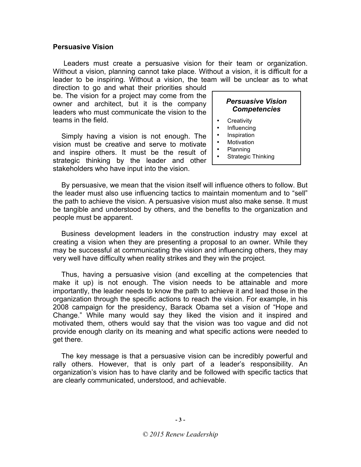## **Persuasive Vision**

Leaders must create a persuasive vision for their team or organization. Without a vision, planning cannot take place. Without a vision, it is difficult for a leader to be inspiring. Without a vision, the team will be unclear as to what

direction to go and what their priorities should be. The vision for a project may come from the owner and architect, but it is the company leaders who must communicate the vision to the teams in the field.

Simply having a vision is not enough. The vision must be creative and serve to motivate and inspire others. It must be the result of strategic thinking by the leader and other stakeholders who have input into the vision.

## *Persuasive Vision Competencies*

- **Creativity**
- Influencing
- **Inspiration**
- **Motivation**
- Planning
- Strategic Thinking

By persuasive, we mean that the vision itself will influence others to follow. But the leader must also use influencing tactics to maintain momentum and to "sell" the path to achieve the vision. A persuasive vision must also make sense. It must be tangible and understood by others, and the benefits to the organization and people must be apparent.

Business development leaders in the construction industry may excel at creating a vision when they are presenting a proposal to an owner. While they may be successful at communicating the vision and influencing others, they may very well have difficulty when reality strikes and they win the project.

Thus, having a persuasive vision (and excelling at the competencies that make it up) is not enough. The vision needs to be attainable and more importantly, the leader needs to know the path to achieve it and lead those in the organization through the specific actions to reach the vision. For example, in his 2008 campaign for the presidency, Barack Obama set a vision of "Hope and Change." While many would say they liked the vision and it inspired and motivated them, others would say that the vision was too vague and did not provide enough clarity on its meaning and what specific actions were needed to get there.

The key message is that a persuasive vision can be incredibly powerful and rally others. However, that is only part of a leader's responsibility. An organization's vision has to have clarity and be followed with specific tactics that are clearly communicated, understood, and achievable.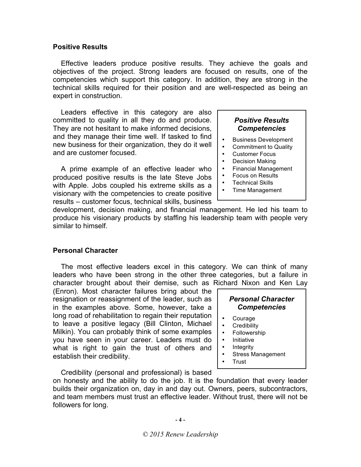## **Positive Results**

Effective leaders produce positive results. They achieve the goals and objectives of the project. Strong leaders are focused on results, one of the competencies which support this category. In addition, they are strong in the technical skills required for their position and are well-respected as being an expert in construction.

Leaders effective in this category are also committed to quality in all they do and produce. They are not hesitant to make informed decisions, and they manage their time well. If tasked to find new business for their organization, they do it well and are customer focused.

A prime example of an effective leader who produced positive results is the late Steve Jobs with Apple. Jobs coupled his extreme skills as a visionary with the competencies to create positive results – customer focus, technical skills, business

## *Positive Results Competencies*

- Business Development
- Commitment to Quality
- Customer Focus
- Decision Making
- Financial Management
- Focus on Results
- **Technical Skills**
- Time Management

development, decision making, and financial management. He led his team to produce his visionary products by staffing his leadership team with people very similar to himself.

## **Personal Character**

The most effective leaders excel in this category. We can think of many leaders who have been strong in the other three categories, but a failure in character brought about their demise, such as Richard Nixon and Ken Lay

(Enron). Most character failures bring about the resignation or reassignment of the leader, such as in the examples above. Some, however, take a long road of rehabilitation to regain their reputation to leave a positive legacy (Bill Clinton, Michael Milkin). You can probably think of some examples you have seen in your career. Leaders must do what is right to gain the trust of others and establish their credibility.

*Personal Character Competencies*

- Courage
- **Credibility**
- Followership
- **Initiative**
- **Integrity**
- Stress Management
- Trust

Credibility (personal and professional) is based

on honesty and the ability to do the job. It is the foundation that every leader builds their organization on, day in and day out. Owners, peers, subcontractors, and team members must trust an effective leader. Without trust, there will not be followers for long.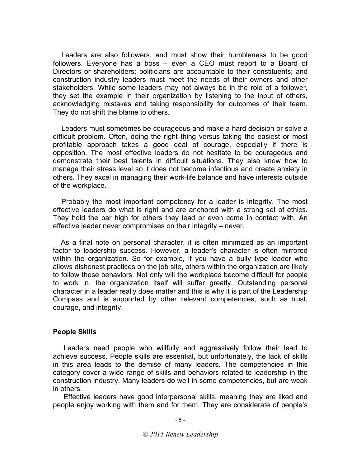Leaders are also followers, and must show their humbleness to be good followers. Everyone has a boss – even a CEO must report to a Board of Directors or shareholders; politicians are accountable to their constituents; and construction industry leaders must meet the needs of their owners and other stakeholders. While some leaders may not always be in the role of a follower, they set the example in their organization by listening to the input of others, acknowledging mistakes and taking responsibility for outcomes of their team. They do not shift the blame to others.

Leaders must sometimes be courageous and make a hard decision or solve a difficult problem. Often, doing the right thing versus taking the easiest or most profitable approach takes a good deal of courage, especially if there is opposition. The most effective leaders do not hesitate to be courageous and demonstrate their best talents in difficult situations. They also know how to manage their stress level so it does not become infectious and create anxiety in others. They excel in managing their work-life balance and have interests outside of the workplace.

Probably the most important competency for a leader is integrity. The most effective leaders do what is right and are anchored with a strong set of ethics. They hold the bar high for others they lead or even come in contact with. An effective leader never compromises on their integrity – never.

As a final note on personal character, it is often minimized as an important factor to leadership success. However, a leader's character is often mirrored within the organization. So for example, if you have a bully type leader who allows dishonest practices on the job site, others within the organization are likely to follow these behaviors. Not only will the workplace become difficult for people to work in, the organization itself will suffer greatly. Outstanding personal character in a leader really does matter and this is why it is part of the Leadership Compass and is supported by other relevant competencies, such as trust, courage, and integrity.

### **People Skills**

Leaders need people who willfully and aggressively follow their lead to achieve success. People skills are essential, but unfortunately, the lack of skills in this area leads to the demise of many leaders. The competencies in this category cover a wide range of skills and behaviors related to leadership in the construction industry. Many leaders do well in some competencies, but are weak in others.

Effective leaders have good interpersonal skills, meaning they are liked and people enjoy working with them and for them. They are considerate of people's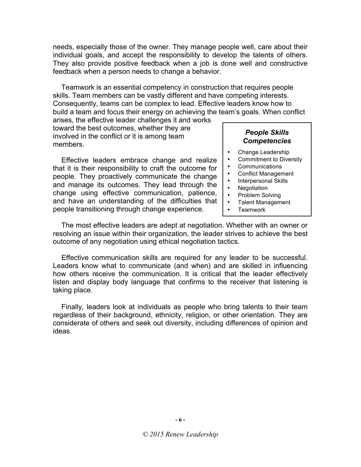needs, especially those of the owner. They manage people well, care about their individual goals, and accept the responsibility to develop the talents of others. They also provide positive feedback when a job is done well and constructive feedback when a person needs to change a behavior.

Teamwork is an essential competency in construction that requires people skills. Team members can be vastly different and have competing interests. Consequently, teams can be complex to lead. Effective leaders know how to build a team and focus their energy on achieving the team's goals. When conflict

arises, the effective leader challenges it and works toward the best outcomes, whether they are involved in the conflict or it is among team members.

Effective leaders embrace change and realize that it is their responsibility to craft the outcome for people. They proactively communicate the change and manage its outcomes. They lead through the change using effective communication, patience, and have an understanding of the difficulties that people transitioning through change experience.

## *People Skills Competencies*

- Change Leadership
- Commitment to Diversity
- **Communications**
- Conflict Management
- Interpersonal Skills
- Negotiation
- Problem Solving
- Talent Management
- Teamwork

The most effective leaders are adept at negotiation. Whether with an owner or resolving an issue within their organization, the leader strives to achieve the best outcome of any negotiation using ethical negotiation tactics.

Effective communication skills are required for any leader to be successful. Leaders know what to communicate (and when) and are skilled in influencing how others receive the communication. It is critical that the leader effectively listen and display body language that confirms to the receiver that listening is taking place.

Finally, leaders look at individuals as people who bring talents to their team regardless of their background, ethnicity, religion, or other orientation. They are considerate of others and seek out diversity, including differences of opinion and ideas.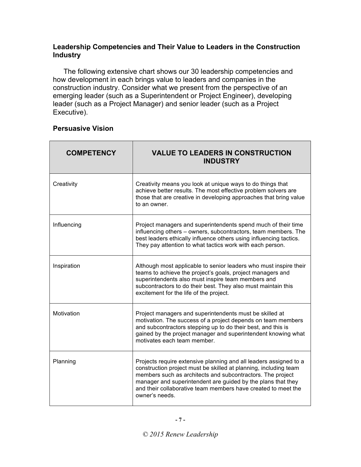## **Leadership Competencies and Their Value to Leaders in the Construction Industry**

The following extensive chart shows our 30 leadership competencies and how development in each brings value to leaders and companies in the construction industry. Consider what we present from the perspective of an emerging leader (such as a Superintendent or Project Engineer), developing leader (such as a Project Manager) and senior leader (such as a Project Executive).

## **Persuasive Vision**

| <b>COMPETENCY</b> | <b>VALUE TO LEADERS IN CONSTRUCTION</b><br><b>INDUSTRY</b>                                                                                                                                                                                                                                                                                             |
|-------------------|--------------------------------------------------------------------------------------------------------------------------------------------------------------------------------------------------------------------------------------------------------------------------------------------------------------------------------------------------------|
| Creativity        | Creativity means you look at unique ways to do things that<br>achieve better results. The most effective problem solvers are<br>those that are creative in developing approaches that bring value<br>to an owner.                                                                                                                                      |
| Influencing       | Project managers and superintendents spend much of their time<br>influencing others - owners, subcontractors, team members. The<br>best leaders ethically influence others using influencing tactics.<br>They pay attention to what tactics work with each person.                                                                                     |
| Inspiration       | Although most applicable to senior leaders who must inspire their<br>teams to achieve the project's goals, project managers and<br>superintendents also must inspire team members and<br>subcontractors to do their best. They also must maintain this<br>excitement for the life of the project.                                                      |
| Motivation        | Project managers and superintendents must be skilled at<br>motivation. The success of a project depends on team members<br>and subcontractors stepping up to do their best, and this is<br>gained by the project manager and superintendent knowing what<br>motivates each team member.                                                                |
| Planning          | Projects require extensive planning and all leaders assigned to a<br>construction project must be skilled at planning, including team<br>members such as architects and subcontractors. The project<br>manager and superintendent are guided by the plans that they<br>and their collaborative team members have created to meet the<br>owner's needs. |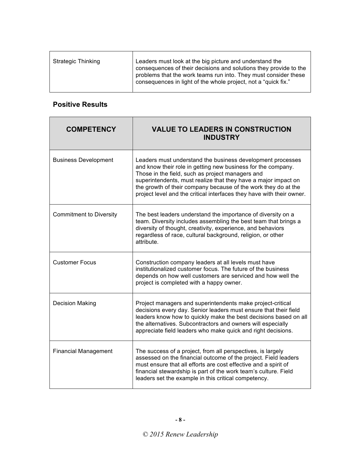| <b>Strategic Thinking</b> | Leaders must look at the big picture and understand the<br>consequences of their decisions and solutions they provide to the      |
|---------------------------|-----------------------------------------------------------------------------------------------------------------------------------|
|                           | problems that the work teams run into. They must consider these<br>consequences in light of the whole project, not a "quick fix." |

## **Positive Results**

| <b>COMPETENCY</b>              | <b>VALUE TO LEADERS IN CONSTRUCTION</b><br><b>INDUSTRY</b>                                                                                                                                                                                                                                                                                                                                  |
|--------------------------------|---------------------------------------------------------------------------------------------------------------------------------------------------------------------------------------------------------------------------------------------------------------------------------------------------------------------------------------------------------------------------------------------|
| <b>Business Development</b>    | Leaders must understand the business development processes<br>and know their role in getting new business for the company.<br>Those in the field, such as project managers and<br>superintendents, must realize that they have a major impact on<br>the growth of their company because of the work they do at the<br>project level and the critical interfaces they have with their owner. |
| <b>Commitment to Diversity</b> | The best leaders understand the importance of diversity on a<br>team. Diversity includes assembling the best team that brings a<br>diversity of thought, creativity, experience, and behaviors<br>regardless of race, cultural background, religion, or other<br>attribute.                                                                                                                 |
| <b>Customer Focus</b>          | Construction company leaders at all levels must have<br>institutionalized customer focus. The future of the business<br>depends on how well customers are serviced and how well the<br>project is completed with a happy owner.                                                                                                                                                             |
| <b>Decision Making</b>         | Project managers and superintendents make project-critical<br>decisions every day. Senior leaders must ensure that their field<br>leaders know how to quickly make the best decisions based on all<br>the alternatives. Subcontractors and owners will especially<br>appreciate field leaders who make quick and right decisions.                                                           |
| <b>Financial Management</b>    | The success of a project, from all perspectives, is largely<br>assessed on the financial outcome of the project. Field leaders<br>must ensure that all efforts are cost effective and a spirit of<br>financial stewardship is part of the work team's culture. Field<br>leaders set the example in this critical competency.                                                                |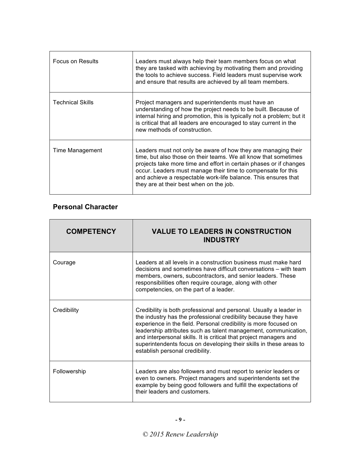| <b>Focus on Results</b> | Leaders must always help their team members focus on what<br>they are tasked with achieving by motivating them and providing<br>the tools to achieve success. Field leaders must supervise work<br>and ensure that results are achieved by all team members.                                                                                                                        |
|-------------------------|-------------------------------------------------------------------------------------------------------------------------------------------------------------------------------------------------------------------------------------------------------------------------------------------------------------------------------------------------------------------------------------|
| <b>Technical Skills</b> | Project managers and superintendents must have an<br>understanding of how the project needs to be built. Because of<br>internal hiring and promotion, this is typically not a problem; but it<br>is critical that all leaders are encouraged to stay current in the<br>new methods of construction.                                                                                 |
| Time Management         | Leaders must not only be aware of how they are managing their<br>time, but also those on their teams. We all know that sometimes<br>projects take more time and effort in certain phases or if changes<br>occur. Leaders must manage their time to compensate for this<br>and achieve a respectable work-life balance. This ensures that<br>they are at their best when on the job. |

## **Personal Character**

| <b>COMPETENCY</b> | <b>VALUE TO LEADERS IN CONSTRUCTION</b><br><b>INDUSTRY</b>                                                                                                                                                                                                                                                                                                                                                                                                  |
|-------------------|-------------------------------------------------------------------------------------------------------------------------------------------------------------------------------------------------------------------------------------------------------------------------------------------------------------------------------------------------------------------------------------------------------------------------------------------------------------|
| Courage           | Leaders at all levels in a construction business must make hard<br>decisions and sometimes have difficult conversations – with team<br>members, owners, subcontractors, and senior leaders. These<br>responsibilities often require courage, along with other<br>competencies, on the part of a leader.                                                                                                                                                     |
| Credibility       | Credibility is both professional and personal. Usually a leader in<br>the industry has the professional credibility because they have<br>experience in the field. Personal credibility is more focused on<br>leadership attributes such as talent management, communication,<br>and interpersonal skills. It is critical that project managers and<br>superintendents focus on developing their skills in these areas to<br>establish personal credibility. |
| Followership      | Leaders are also followers and must report to senior leaders or<br>even to owners. Project managers and superintendents set the<br>example by being good followers and fulfill the expectations of<br>their leaders and customers.                                                                                                                                                                                                                          |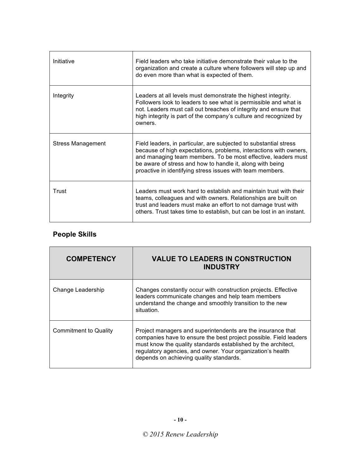| Initiative               | Field leaders who take initiative demonstrate their value to the<br>organization and create a culture where followers will step up and<br>do even more than what is expected of them.                                                                                                                                             |
|--------------------------|-----------------------------------------------------------------------------------------------------------------------------------------------------------------------------------------------------------------------------------------------------------------------------------------------------------------------------------|
| Integrity                | Leaders at all levels must demonstrate the highest integrity.<br>Followers look to leaders to see what is permissible and what is<br>not. Leaders must call out breaches of integrity and ensure that<br>high integrity is part of the company's culture and recognized by<br>owners.                                             |
| <b>Stress Management</b> | Field leaders, in particular, are subjected to substantial stress<br>because of high expectations, problems, interactions with owners,<br>and managing team members. To be most effective, leaders must<br>be aware of stress and how to handle it, along with being<br>proactive in identifying stress issues with team members. |
| Trust                    | Leaders must work hard to establish and maintain trust with their<br>teams, colleagues and with owners. Relationships are built on<br>trust and leaders must make an effort to not damage trust with<br>others. Trust takes time to establish, but can be lost in an instant.                                                     |

## **People Skills**

| <b>COMPETENCY</b>            | <b>VALUE TO LEADERS IN CONSTRUCTION</b><br><b>INDUSTRY</b>                                                                                                                                                                                                                                                 |
|------------------------------|------------------------------------------------------------------------------------------------------------------------------------------------------------------------------------------------------------------------------------------------------------------------------------------------------------|
| Change Leadership            | Changes constantly occur with construction projects. Effective<br>leaders communicate changes and help team members<br>understand the change and smoothly transition to the new<br>situation.                                                                                                              |
| <b>Commitment to Quality</b> | Project managers and superintendents are the insurance that<br>companies have to ensure the best project possible. Field leaders<br>must know the quality standards established by the architect,<br>regulatory agencies, and owner. Your organization's health<br>depends on achieving quality standards. |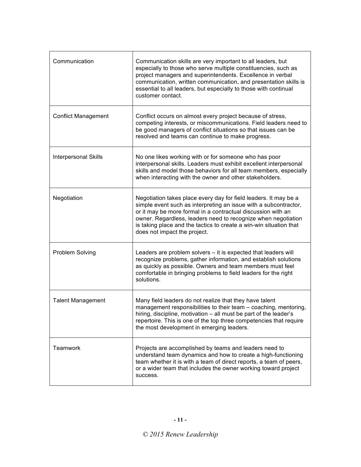| Communication               | Communication skills are very important to all leaders, but<br>especially to those who serve multiple constituencies, such as<br>project managers and superintendents. Excellence in verbal<br>communication, written communication, and presentation skills is<br>essential to all leaders, but especially to those with continual<br>customer contact.                    |
|-----------------------------|-----------------------------------------------------------------------------------------------------------------------------------------------------------------------------------------------------------------------------------------------------------------------------------------------------------------------------------------------------------------------------|
| <b>Conflict Management</b>  | Conflict occurs on almost every project because of stress,<br>competing interests, or miscommunications. Field leaders need to<br>be good managers of conflict situations so that issues can be<br>resolved and teams can continue to make progress.                                                                                                                        |
| <b>Interpersonal Skills</b> | No one likes working with or for someone who has poor<br>interpersonal skills. Leaders must exhibit excellent interpersonal<br>skills and model those behaviors for all team members, especially<br>when interacting with the owner and other stakeholders.                                                                                                                 |
| Negotiation                 | Negotiation takes place every day for field leaders. It may be a<br>simple event such as interpreting an issue with a subcontractor,<br>or it may be more formal in a contractual discussion with an<br>owner. Regardless, leaders need to recognize when negotiation<br>is taking place and the tactics to create a win-win situation that<br>does not impact the project. |
| Problem Solving             | Leaders are problem solvers – it is expected that leaders will<br>recognize problems, gather information, and establish solutions<br>as quickly as possible. Owners and team members must feel<br>comfortable in bringing problems to field leaders for the right<br>solutions.                                                                                             |
| <b>Talent Management</b>    | Many field leaders do not realize that they have talent<br>management responsibilities to their team - coaching, mentoring,<br>hiring, discipline, motivation - all must be part of the leader's<br>repertoire. This is one of the top three competencies that require<br>the most development in emerging leaders.                                                         |
| <b>Teamwork</b>             | Projects are accomplished by teams and leaders need to<br>understand team dynamics and how to create a high-functioning<br>team whether it is with a team of direct reports, a team of peers,<br>or a wider team that includes the owner working toward project<br>success.                                                                                                 |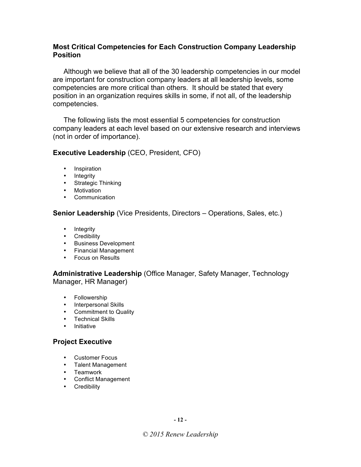## **Most Critical Competencies for Each Construction Company Leadership Position**

Although we believe that all of the 30 leadership competencies in our model are important for construction company leaders at all leadership levels, some competencies are more critical than others. It should be stated that every position in an organization requires skills in some, if not all, of the leadership competencies.

The following lists the most essential 5 competencies for construction company leaders at each level based on our extensive research and interviews (not in order of importance).

## **Executive Leadership** (CEO, President, CFO)

- Inspiration
- Integrity
- Strategic Thinking
- Motivation
- Communication

**Senior Leadership** (Vice Presidents, Directors – Operations, Sales, etc.)

- Integrity
- Credibility
- Business Development
- Financial Management
- Focus on Results

**Administrative Leadership** (Office Manager, Safety Manager, Technology Manager, HR Manager)

- Followership
- Interpersonal Skills
- Commitment to Quality
- Technical Skills
- Initiative

## **Project Executive**

- Customer Focus
- Talent Management
- Teamwork
- Conflict Management
- Credibility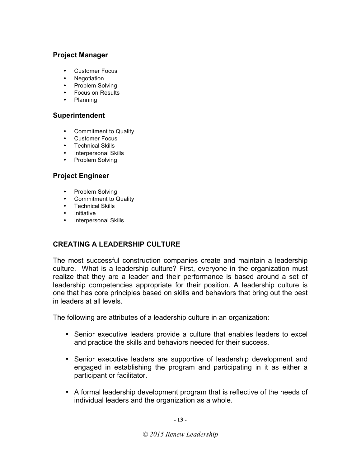## **Project Manager**

- Customer Focus
- Negotiation
- Problem Solving
- Focus on Results
- Planning

## **Superintendent**

- Commitment to Quality
- Customer Focus
- Technical Skills
- Interpersonal Skills
- Problem Solving

## **Project Engineer**

- Problem Solving
- Commitment to Quality
- Technical Skills
- Initiative
- Interpersonal Skills

## **CREATING A LEADERSHIP CULTURE**

The most successful construction companies create and maintain a leadership culture. What is a leadership culture? First, everyone in the organization must realize that they are a leader and their performance is based around a set of leadership competencies appropriate for their position. A leadership culture is one that has core principles based on skills and behaviors that bring out the best in leaders at all levels.

The following are attributes of a leadership culture in an organization:

- Senior executive leaders provide a culture that enables leaders to excel and practice the skills and behaviors needed for their success.
- Senior executive leaders are supportive of leadership development and engaged in establishing the program and participating in it as either a participant or facilitator.
- A formal leadership development program that is reflective of the needs of individual leaders and the organization as a whole.

**- 13 -**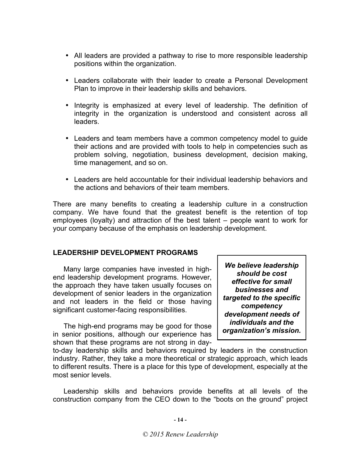- All leaders are provided a pathway to rise to more responsible leadership positions within the organization.
- Leaders collaborate with their leader to create a Personal Development Plan to improve in their leadership skills and behaviors.
- Integrity is emphasized at every level of leadership. The definition of integrity in the organization is understood and consistent across all leaders.
- Leaders and team members have a common competency model to guide their actions and are provided with tools to help in competencies such as problem solving, negotiation, business development, decision making, time management, and so on.
- Leaders are held accountable for their individual leadership behaviors and the actions and behaviors of their team members.

There are many benefits to creating a leadership culture in a construction company. We have found that the greatest benefit is the retention of top employees (loyalty) and attraction of the best talent – people want to work for your company because of the emphasis on leadership development.

## **LEADERSHIP DEVELOPMENT PROGRAMS**

Many large companies have invested in highend leadership development programs. However, the approach they have taken usually focuses on development of senior leaders in the organization and not leaders in the field or those having significant customer-facing responsibilities.

The high-end programs may be good for those in senior positions, although our experience has shown that these programs are not strong in day-

*We believe leadership should be cost effective for small businesses and targeted to the specific competency development needs of individuals and the organization's mission.* 

to-day leadership skills and behaviors required by leaders in the construction industry. Rather, they take a more theoretical or strategic approach, which leads to different results. There is a place for this type of development, especially at the most senior levels.

Leadership skills and behaviors provide benefits at all levels of the construction company from the CEO down to the "boots on the ground" project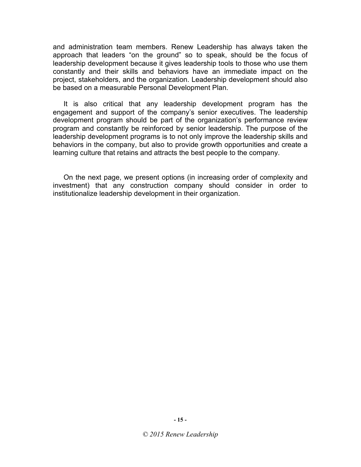and administration team members. Renew Leadership has always taken the approach that leaders "on the ground" so to speak, should be the focus of leadership development because it gives leadership tools to those who use them constantly and their skills and behaviors have an immediate impact on the project, stakeholders, and the organization. Leadership development should also be based on a measurable Personal Development Plan.

It is also critical that any leadership development program has the engagement and support of the company's senior executives. The leadership development program should be part of the organization's performance review program and constantly be reinforced by senior leadership. The purpose of the leadership development programs is to not only improve the leadership skills and behaviors in the company, but also to provide growth opportunities and create a learning culture that retains and attracts the best people to the company.

On the next page, we present options (in increasing order of complexity and investment) that any construction company should consider in order to institutionalize leadership development in their organization.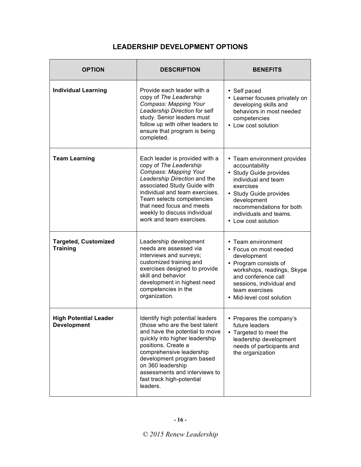#### **OPTION DESCRIPTION BENEFITS Individual Learning Provide each leader with a** copy of *The Leadership Compass: Mapping Your Leadership Direction* for self study. Senior leaders must follow up with other leaders to ensure that program is being completed. • Self paced • Learner focuses privately on developing skills and behaviors in most needed competencies • Low cost solution **Team Learning** Each leader is provided with a copy of *The Leadership Compass: Mapping Your Leadership Direction* and the associated Study Guide with individual and team exercises. Team selects competencies that need focus and meets weekly to discuss individual work and team exercises. • Team environment provides accountability • Study Guide provides individual and team exercises • Study Guide provides development recommendations for both individuals and teams. • Low cost solution **Targeted, Customized Training** Leadership development needs are assessed via interviews and surveys; customized training and exercises designed to provide skill and behavior development in highest need competencies in the organization. • Team environment • Focus on most needed development • Program consists of workshops, readings, Skype and conference call sessions, individual and team exercises • Mid-level cost solution **High Potential Leader Development** Identify high potential leaders (those who are the best talent and have the potential to move quickly into higher leadership positions. Create a comprehensive leadership development program based on 360 leadership assessments and interviews to fast track high-potential leaders. • Prepares the company's future leaders • Targeted to meet the leadership development needs of participants and the organization

## **LEADERSHIP DEVELOPMENT OPTIONS**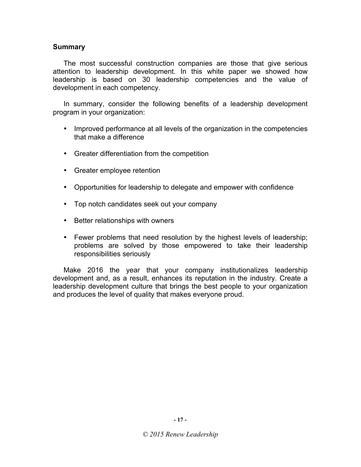## **Summary**

The most successful construction companies are those that give serious attention to leadership development. In this white paper we showed how leadership is based on 30 leadership competencies and the value of development in each competency.

In summary, consider the following benefits of a leadership development program in your organization:

- Improved performance at all levels of the organization in the competencies that make a difference
- Greater differentiation from the competition
- Greater employee retention
- Opportunities for leadership to delegate and empower with confidence
- Top notch candidates seek out your company
- Better relationships with owners
- Fewer problems that need resolution by the highest levels of leadership; problems are solved by those empowered to take their leadership responsibilities seriously

Make 2016 the year that your company institutionalizes leadership development and, as a result, enhances its reputation in the industry. Create a leadership development culture that brings the best people to your organization and produces the level of quality that makes everyone proud.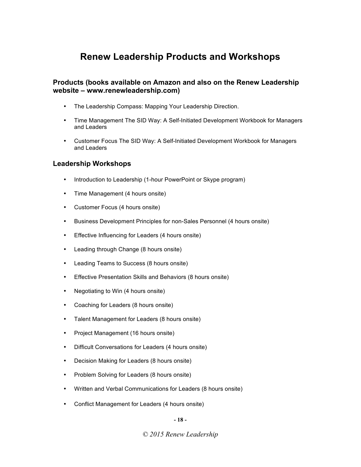## **Renew Leadership Products and Workshops**

## **Products (books available on Amazon and also on the Renew Leadership website – www.renewleadership.com)**

- The Leadership Compass: Mapping Your Leadership Direction.
- Time Management The SID Way: A Self-Initiated Development Workbook for Managers and Leaders
- Customer Focus The SID Way: A Self-Initiated Development Workbook for Managers and Leaders

### **Leadership Workshops**

- Introduction to Leadership (1-hour PowerPoint or Skype program)
- Time Management (4 hours onsite)
- Customer Focus (4 hours onsite)
- Business Development Principles for non-Sales Personnel (4 hours onsite)
- Effective Influencing for Leaders (4 hours onsite)
- Leading through Change (8 hours onsite)
- Leading Teams to Success (8 hours onsite)
- Effective Presentation Skills and Behaviors (8 hours onsite)
- Negotiating to Win (4 hours onsite)
- Coaching for Leaders (8 hours onsite)
- Talent Management for Leaders (8 hours onsite)
- Project Management (16 hours onsite)
- Difficult Conversations for Leaders (4 hours onsite)
- Decision Making for Leaders (8 hours onsite)
- Problem Solving for Leaders (8 hours onsite)
- Written and Verbal Communications for Leaders (8 hours onsite)
- Conflict Management for Leaders (4 hours onsite)

**- 18 -**

*© 2015 Renew Leadership*